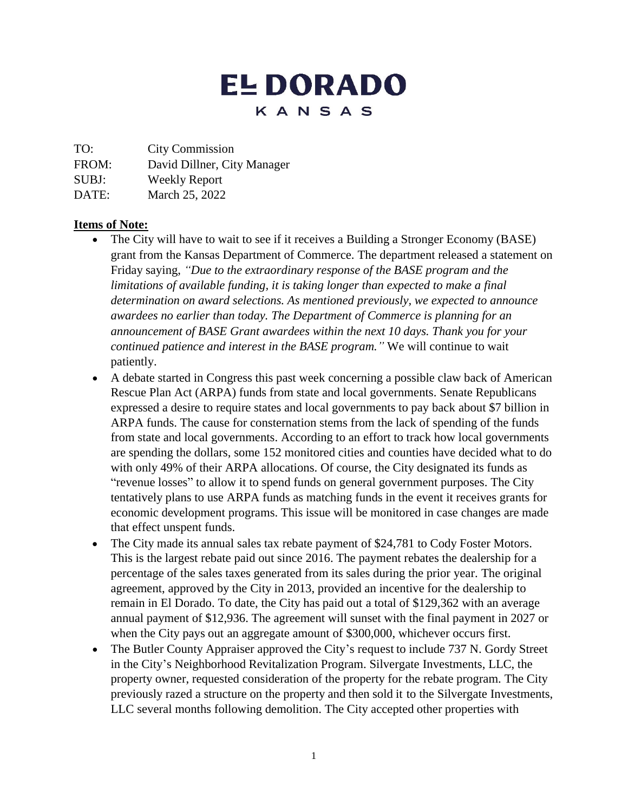# **EL DORADO** KANSAS

TO: City Commission

FROM: David Dillner, City Manager

SUBJ: Weekly Report

DATE: March 25, 2022

#### **Items of Note:**

- The City will have to wait to see if it receives a Building a Stronger Economy (BASE) grant from the Kansas Department of Commerce. The department released a statement on Friday saying, *"Due to the extraordinary response of the BASE program and the limitations of available funding, it is taking longer than expected to make a final determination on award selections. As mentioned previously, we expected to announce awardees no earlier than today. The Department of Commerce is planning for an announcement of BASE Grant awardees within the next 10 days. Thank you for your continued patience and interest in the BASE program."* We will continue to wait patiently.
- A debate started in Congress this past week concerning a possible claw back of American Rescue Plan Act (ARPA) funds from state and local governments. Senate Republicans expressed a desire to require states and local governments to pay back about \$7 billion in ARPA funds. The cause for consternation stems from the lack of spending of the funds from state and local governments. According to an effort to track how local governments are spending the dollars, some 152 monitored cities and counties have decided what to do with only 49% of their ARPA allocations. Of course, the City designated its funds as "revenue losses" to allow it to spend funds on general government purposes. The City tentatively plans to use ARPA funds as matching funds in the event it receives grants for economic development programs. This issue will be monitored in case changes are made that effect unspent funds.
- The City made its annual sales tax rebate payment of \$24,781 to Cody Foster Motors. This is the largest rebate paid out since 2016. The payment rebates the dealership for a percentage of the sales taxes generated from its sales during the prior year. The original agreement, approved by the City in 2013, provided an incentive for the dealership to remain in El Dorado. To date, the City has paid out a total of \$129,362 with an average annual payment of \$12,936. The agreement will sunset with the final payment in 2027 or when the City pays out an aggregate amount of \$300,000, whichever occurs first.
- The Butler County Appraiser approved the City's request to include 737 N. Gordy Street in the City's Neighborhood Revitalization Program. Silvergate Investments, LLC, the property owner, requested consideration of the property for the rebate program. The City previously razed a structure on the property and then sold it to the Silvergate Investments, LLC several months following demolition. The City accepted other properties with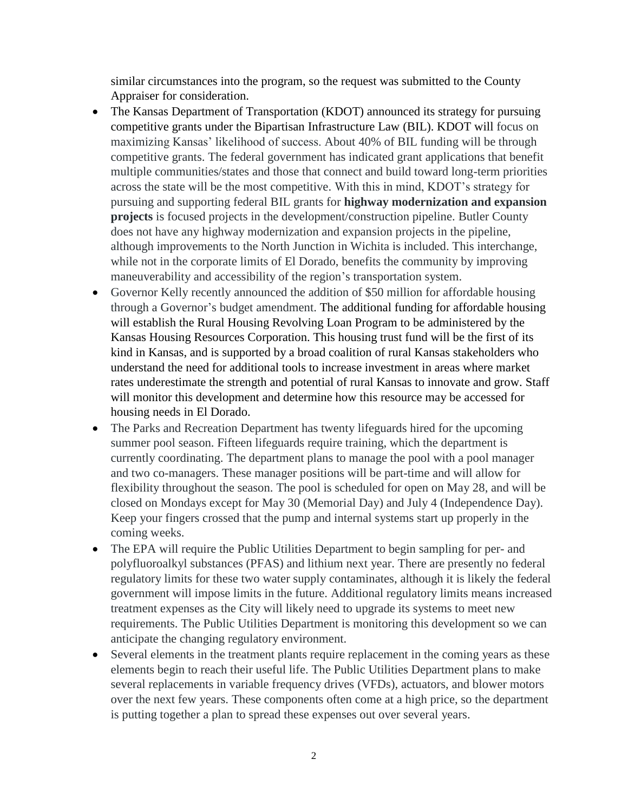similar circumstances into the program, so the request was submitted to the County Appraiser for consideration.

- The Kansas Department of Transportation (KDOT) announced its strategy for pursuing competitive grants under the Bipartisan Infrastructure Law (BIL). KDOT will focus on maximizing Kansas' likelihood of success. About 40% of BIL funding will be through competitive grants. The federal government has indicated grant applications that benefit multiple communities/states and those that connect and build toward long-term priorities across the state will be the most competitive. With this in mind, KDOT's strategy for pursuing and supporting federal BIL grants for **highway modernization and expansion projects** is focused projects in the development/construction pipeline. Butler County does not have any highway modernization and expansion projects in the pipeline, although improvements to the North Junction in Wichita is included. This interchange, while not in the corporate limits of El Dorado, benefits the community by improving maneuverability and accessibility of the region's transportation system.
- Governor Kelly recently announced the addition of \$50 million for affordable housing through a Governor's budget amendment. The additional funding for affordable housing will establish the Rural Housing Revolving Loan Program to be administered by the Kansas Housing Resources Corporation. This housing trust fund will be the first of its kind in Kansas, and is supported by a broad coalition of rural Kansas stakeholders who understand the need for additional tools to increase investment in areas where market rates underestimate the strength and potential of rural Kansas to innovate and grow. Staff will monitor this development and determine how this resource may be accessed for housing needs in El Dorado.
- The Parks and Recreation Department has twenty lifeguards hired for the upcoming summer pool season. Fifteen lifeguards require training, which the department is currently coordinating. The department plans to manage the pool with a pool manager and two co-managers. These manager positions will be part-time and will allow for flexibility throughout the season. The pool is scheduled for open on May 28, and will be closed on Mondays except for May 30 (Memorial Day) and July 4 (Independence Day). Keep your fingers crossed that the pump and internal systems start up properly in the coming weeks.
- The EPA will require the Public Utilities Department to begin sampling for per- and polyfluoroalkyl substances (PFAS) and lithium next year. There are presently no federal regulatory limits for these two water supply contaminates, although it is likely the federal government will impose limits in the future. Additional regulatory limits means increased treatment expenses as the City will likely need to upgrade its systems to meet new requirements. The Public Utilities Department is monitoring this development so we can anticipate the changing regulatory environment.
- Several elements in the treatment plants require replacement in the coming years as these elements begin to reach their useful life. The Public Utilities Department plans to make several replacements in variable frequency drives (VFDs), actuators, and blower motors over the next few years. These components often come at a high price, so the department is putting together a plan to spread these expenses out over several years.